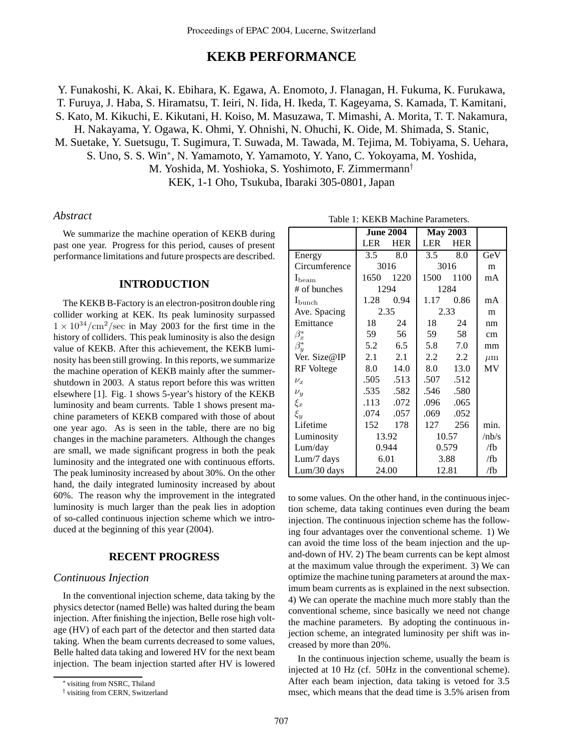# **KEKB PERFORMANCE**

Y. Funakoshi, K. Akai, K. Ebihara, K. Egawa, A. Enomoto, J. Flanagan, H. Fukuma, K. Furukawa,

T. Furuya, J. Haba, S. Hiramatsu, T. Ieiri, N. Iida, H. Ikeda, T. Kageyama, S. Kamada, T. Kamitani,

S. Kato, M. Kikuchi, E. Kikutani, H. Koiso, M. Masuzawa, T. Mimashi, A. Morita, T. T. Nakamura,

H. Nakayama, Y. Ogawa, K. Ohmi, Y. Ohnishi, N. Ohuchi, K. Oide, M. Shimada, S. Stanic,

M. Suetake, Y. Suetsugu, T. Sugimura, T. Suwada, M. Tawada, M. Tejima, M. Tobiyama, S. Uehara,

S. Uno, S. S. Win<sup>∗</sup>, N. Yamamoto, Y. Yamamoto, Y. Yano, C. Yokoyama, M. Yoshida,

M. Yoshida, M. Yoshioka, S. Yoshimoto, F. Zimmermann†

KEK, 1-1 Oho, Tsukuba, Ibaraki 305-0801, Japan

#### *Abstract*

We summarize the machine operation of KEKB during past one year. Progress for this period, causes of present performance limitations and future prospects are described.

#### **INTRODUCTION**

The KEKB B-Factory is an electron-positron double ring collider working at KEK. Its peak luminosity surpassed  $1 \times 10^{34}/\text{cm}^2/\text{sec}$  in May 2003 for the first time in the history of colliders. This peak luminosity is also the design value of KEKB. After this achievement, the KEKB luminosity has been still growing. In this reports, we summarize the machine operation of KEKB mainly after the summershutdown in 2003. A status report before this was written elsewhere [1]. Fig. 1 shows 5-year's history of the KEKB luminosity and beam currents. Table 1 shows present machine parameters of KEKB compared with those of about one year ago. As is seen in the table, there are no big changes in the machine parameters. Although the changes are small, we made significant progress in both the peak luminosity and the integrated one with continuous efforts. The peak luminosity increased by about 30%. On the other hand, the daily integrated luminosity increased by about 60%. The reason why the improvement in the integrated luminosity is much larger than the peak lies in adoption of so-called continuous injection scheme which we introduced at the beginning of this year (2004).

#### **RECENT PROGRESS**

### *Continuous Injection*

In the conventional injection scheme, data taking by the physics detector (named Belle) was halted during the beam injection. After finishing the injection, Belle rose high voltage (HV) of each part of the detector and then started data taking. When the beam currents decreased to some values, Belle halted data taking and lowered HV for the next beam injection. The beam injection started after HV is lowered

|                    | <b>June 2004</b> |            | <b>May 2003</b> |            |         |
|--------------------|------------------|------------|-----------------|------------|---------|
|                    | <b>LER</b>       | <b>HER</b> | <b>LER</b>      | <b>HER</b> |         |
| Energy             | 3.5              | 8.0        | 3.5             | 8.0        | GeV     |
| Circumference      | 3016             |            | 3016            |            | m       |
| $I_{\text{beam}}$  | 1650             | 1220       | 1500            | 1100       | mA      |
| # of bunches       | 1294             |            | 1284            |            |         |
| $I_{\text{bunch}}$ | 1.28             | 0.94       | 1.17            | 0.86       | mA      |
| Ave. Spacing       | 2.35             |            | 2.33            |            | m       |
| Emittance          | 18               | 24         | 18              | 24         | nm      |
| $\beta_x^*$        | 59               | 56         | 59              | 58         | cm      |
| $\beta_u^*$        | 5.2              | 6.5        | 5.8             | 7.0        | mm      |
| Ver. Size@IP       | 2.1              | 2.1        | 2.2             | 2.2        | $\mu$ m |
| <b>RF</b> Voltege  | 8.0              | 14.0       | 8.0             | 13.0       | MV      |
| $\nu_x$            | .505             | .513       | .507            | .512       |         |
| $\nu_y$            | .535             | .582       | .546            | .580       |         |
| $\xi_x$            | .113             | .072       | .096            | .065       |         |
| $\xi_y$            | .074             | .057       | .069            | .052       |         |
| Lifetime           | 152              | 178        | 127             | 256        | min.    |
| Luminosity         | 13.92            |            | 10.57           |            | /nb/s   |
| Lum/day            | 0.944            |            | 0.579           |            | /fb     |
| Lum/7 days         | 6.01             |            | 3.88            |            | /fb     |
| Lum/30 days        | 24.00            |            | 12.81           |            | /fb     |

to some values. On the other hand, in the continuous injection scheme, data taking continues even during the beam injection. The continuous injection scheme has the following four advantages over the conventional scheme. 1) We can avoid the time loss of the beam injection and the upand-down of HV. 2) The beam currents can be kept almost at the maximum value through the experiment. 3) We can optimize the machine tuning parameters at around the maximum beam currents as is explained in the next subsection. 4) We can operate the machine much more stably than the conventional scheme, since basically we need not change the machine parameters. By adopting the continuous injection scheme, an integrated luminosity per shift was increased by more than 20%.

In the continuous injection scheme, usually the beam is injected at 10 Hz (cf. 50Hz in the conventional scheme). After each beam injection, data taking is vetoed for 3.5 msec, which means that the dead time is 3.5% arisen from

<sup>∗</sup> visiting from NSRC, Thiland

<sup>†</sup> visiting from CERN, Switzerland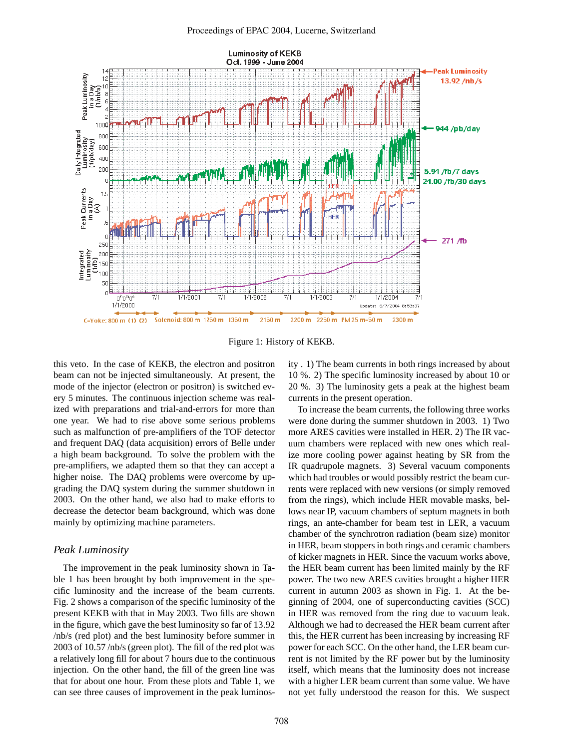

Figure 1: History of KEKB.

this veto. In the case of KEKB, the electron and positron beam can not be injected simultaneously. At present, the mode of the injector (electron or positron) is switched every 5 minutes. The continuous injection scheme was realized with preparations and trial-and-errors for more than one year. We had to rise above some serious problems such as malfunction of pre-amplifiers of the TOF detector and frequent DAQ (data acquisition) errors of Belle under a high beam background. To solve the problem with the pre-amplifiers, we adapted them so that they can accept a higher noise. The DAQ problems were overcome by upgrading the DAQ system during the summer shutdown in 2003. On the other hand, we also had to make efforts to decrease the detector beam background, which was done mainly by optimizing machine parameters.

## *Peak Luminosity*

The improvement in the peak luminosity shown in Table 1 has been brought by both improvement in the specific luminosity and the increase of the beam currents. Fig. 2 shows a comparison of the specific luminosity of the present KEKB with that in May 2003. Two fills are shown in the figure, which gave the best luminosity so far of 13.92 /nb/s (red plot) and the best luminosity before summer in 2003 of 10.57 /nb/s (green plot). The fill of the red plot was a relatively long fill for about 7 hours due to the continuous injection. On the other hand, the fill of the green line was that for about one hour. From these plots and Table 1, we can see three causes of improvement in the peak luminosity . 1) The beam currents in both rings increased by about 10 %. 2) The specific luminosity increased by about 10 or 20 %. 3) The luminosity gets a peak at the highest beam currents in the present operation.

To increase the beam currents, the following three works were done during the summer shutdown in 2003. 1) Two more ARES cavities were installed in HER. 2) The IR vacuum chambers were replaced with new ones which realize more cooling power against heating by SR from the IR quadrupole magnets. 3) Several vacuum components which had troubles or would possibly restrict the beam currents were replaced with new versions (or simply removed from the rings), which include HER movable masks, bellows near IP, vacuum chambers of septum magnets in both rings, an ante-chamber for beam test in LER, a vacuum chamber of the synchrotron radiation (beam size) monitor in HER, beam stoppers in both rings and ceramic chambers of kicker magnets in HER. Since the vacuum works above, the HER beam current has been limited mainly by the RF power. The two new ARES cavities brought a higher HER current in autumn 2003 as shown in Fig. 1. At the beginning of 2004, one of superconducting cavities (SCC) in HER was removed from the ring due to vacuum leak. Although we had to decreased the HER beam current after this, the HER current has been increasing by increasing RF power for each SCC. On the other hand, the LER beam current is not limited by the RF power but by the luminosity itself, which means that the luminosity does not increase with a higher LER beam current than some value. We have not yet fully understood the reason for this. We suspect